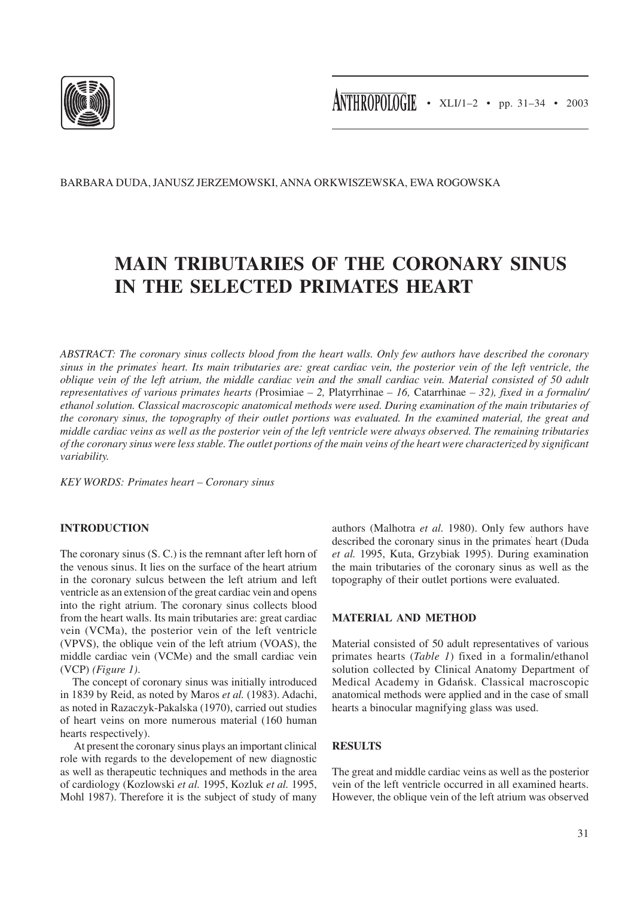

BARBARA DUDA, JANUSZ JERZEMOWSKI, ANNA ORKWISZEWSKA, EWA ROGOWSKA

# **MAIN TRIBUTARIES OF THE CORONARY SINUS IN THE SELECTED PRIMATES HEART**

*ABSTRACT: The coronary sinus collects blood from the heart walls. Only few authors have described the coronary sinus in the primates' heart. Its main tributaries are: great cardiac vein, the posterior vein of the left ventricle, the oblique vein of the left atrium, the middle cardiac vein and the small cardiac vein. Material consisted of 50 adult representatives of various primates hearts (*Prosimiae *– 2,* Platyrrhinae *– 16,* Catarrhinae *– 32), fixed in a formalin/ ethanol solution. Classical macroscopic anatomical methods were used. During examination of the main tributaries of the coronary sinus, the topography of their outlet portions was evaluated. In the examined material, the great and middle cardiac veins as well as the posterior vein of the left ventricle were always observed. The remaining tributaries of the coronary sinus were less stable. The outlet portions of the main veins of the heart were characterized by significant variability.*

*KEY WORDS: Primates heart – Coronary sinus*

# **INTRODUCTION**

The coronary sinus (S. C.) is the remnant after left horn of the venous sinus. It lies on the surface of the heart atrium in the coronary sulcus between the left atrium and left ventricle as an extension of the great cardiac vein and opens into the right atrium. The coronary sinus collects blood from the heart walls. Its main tributaries are: great cardiac vein (VCMa), the posterior vein of the left ventricle (VPVS), the oblique vein of the left atrium (VOAS), the middle cardiac vein (VCMe) and the small cardiac vein (VCP) *(Figure 1)*.

The concept of coronary sinus was initially introduced in 1839 by Reid, as noted by Maros *et al.* (1983). Adachi, as noted in Razaczyk-Pakalska (1970), carried out studies of heart veins on more numerous material (160 human hearts respectively).

 At present the coronary sinus plays an important clinical role with regards to the developement of new diagnostic as well as therapeutic techniques and methods in the area of cardiology (Kozlowski *et al.* 1995, Kozluk *et al.* 1995, Mohl 1987). Therefore it is the subject of study of many authors (Malhotra *et al.* 1980). Only few authors have described the coronary sinus in the primates' heart (Duda *et al.* 1995, Kuta, Grzybiak 1995). During examination the main tributaries of the coronary sinus as well as the topography of their outlet portions were evaluated.

# **MATERIAL AND METHOD**

Material consisted of 50 adult representatives of various primates hearts (*Table 1*) fixed in a formalin/ethanol solution collected by Clinical Anatomy Department of Medical Academy in Gdańsk. Classical macroscopic anatomical methods were applied and in the case of small hearts a binocular magnifying glass was used.

## **RESULTS**

The great and middle cardiac veins as well as the posterior vein of the left ventricle occurred in all examined hearts. However, the oblique vein of the left atrium was observed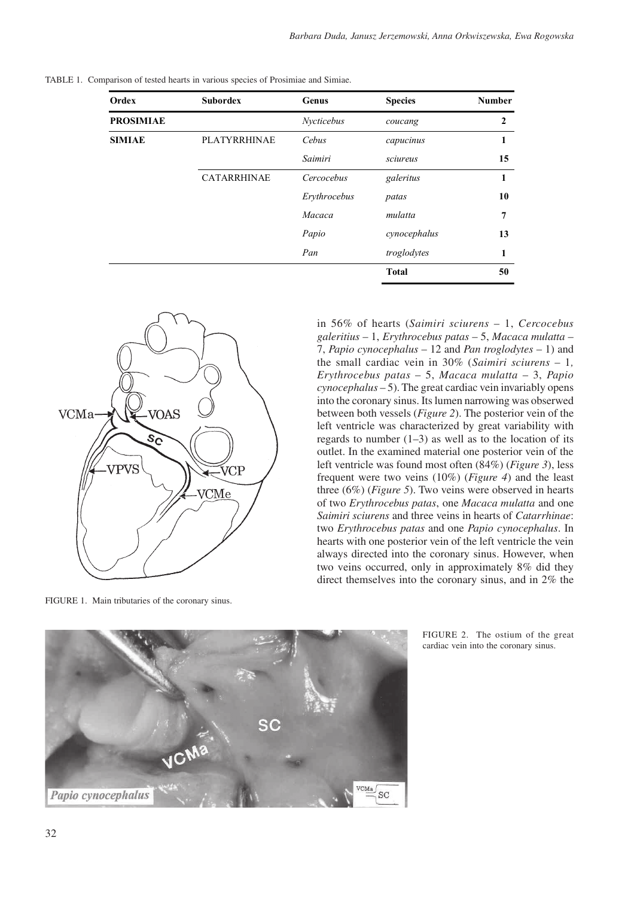| Ordex            | <b>Subordex</b>     | Genus        | <b>Species</b> | <b>Number</b> |
|------------------|---------------------|--------------|----------------|---------------|
| <b>PROSIMIAE</b> |                     | Nycticebus   | coucang        | $\mathbf{2}$  |
| <b>SIMIAE</b>    | <b>PLATYRRHINAE</b> | Cebus        | capucinus      | 1             |
|                  |                     | Saimiri      | sciureus       | 15            |
|                  | <b>CATARRHINAE</b>  | Cercocebus   | galeritus      | 1             |
|                  |                     | Erythrocebus | patas          | 10            |
|                  |                     | Macaca       | mulatta        | 7             |
|                  |                     | Papio        | cynocephalus   | 13            |
|                  |                     | Pan          | troglodytes    | 1             |
|                  |                     |              | <b>Total</b>   | 50            |

TABLE 1. Comparison of tested hearts in various species of Prosimiae and Simiae.



FIGURE 1. Main tributaries of the coronary sinus.

in 56% of hearts (*Saimiri sciurens* – 1, *Cercocebus galeritius* – 1, *Erythrocebus patas* – 5, *Macaca mulatta* – 7, *Papio cynocephalus* – 12 and *Pan troglodytes* – 1) and the small cardiac vein in 30% (*Saimiri sciurens* – 1*, Erythrocebus patas* – 5, *Macaca mulatta* – 3, *Papio cynocephalus* – 5). The great cardiac vein invariably opens into the coronary sinus. Its lumen narrowing was obserwed between both vessels (*Figure 2*). The posterior vein of the left ventricle was characterized by great variability with regards to number  $(1-3)$  as well as to the location of its outlet. In the examined material one posterior vein of the left ventricle was found most often (84%) (*Figure 3*), less frequent were two veins (10%) (*Figure 4*) and the least three (6%) (*Figure 5*). Two veins were observed in hearts of two *Erythrocebus patas*, one *Macaca mulatta* and one *Saimiri sciurens* and three veins in hearts of *Catarrhinae*: two *Erythrocebus patas* and one *Papio cynocephalus*. In hearts with one posterior vein of the left ventricle the vein always directed into the coronary sinus. However, when two veins occurred, only in approximately 8% did they direct themselves into the coronary sinus, and in 2% the



FIGURE 2. The ostium of the great cardiac vein into the coronary sinus.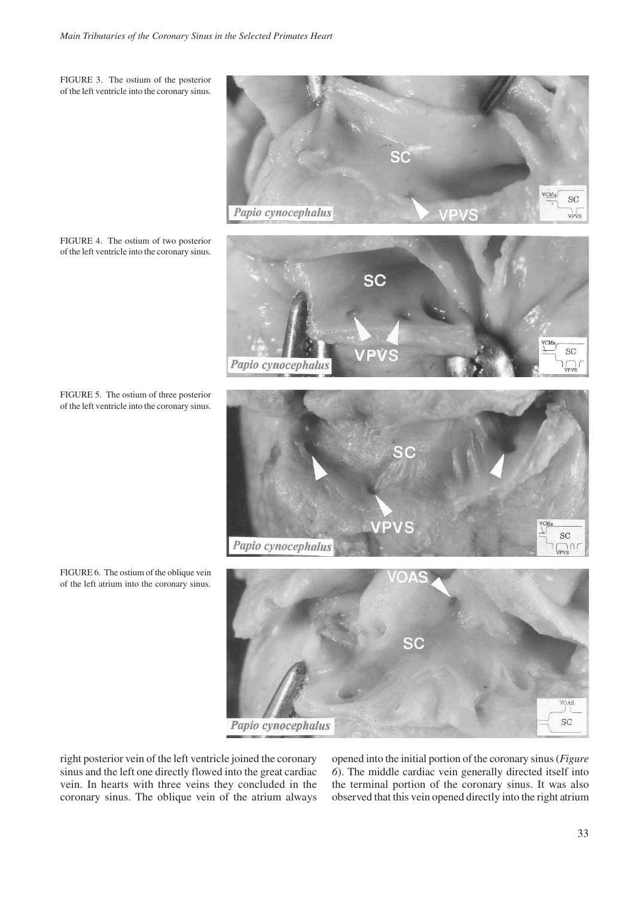FIGURE 3. The ostium of the posterior of the left ventricle into the coronary sinus.

FIGURE 4. The ostium of two posterior of the left ventricle into the coronary sinus.

FIGURE 5. The ostium of three posterior of the left ventricle into the coronary sinus.



Papio cynocephalus

right posterior vein of the left ventricle joined the coronary sinus and the left one directly flowed into the great cardiac vein. In hearts with three veins they concluded in the coronary sinus. The oblique vein of the atrium always opened into the initial portion of the coronary sinus (*Figure 6*). The middle cardiac vein generally directed itself into the terminal portion of the coronary sinus. It was also observed that this vein opened directly into the right atrium

FIGURE 6. The ostium of the oblique vein

of the left atrium into the coronary sinus.